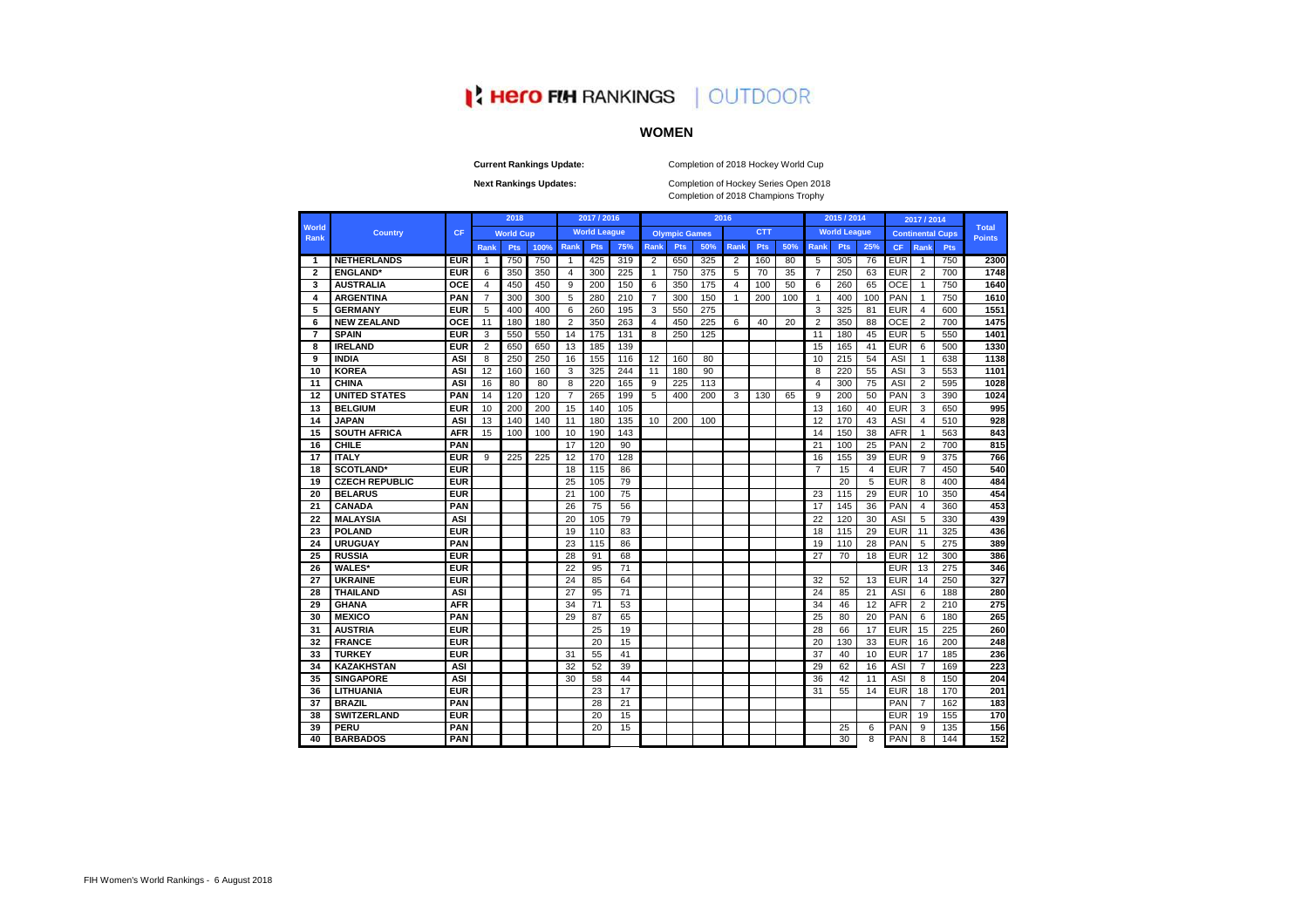Completion of 2018 Champions Trophy Next Rankings Updates: **Next Rankings Updates:** Completion of Hockey Series Open 2018

|                |                       |            |                | 2018             |      |                | 2017 / 2016         |     |                |                      |     | 2016           |            |     |                | 2015 / 2014         |     |            | 2017 / 2014    |                         |                               |
|----------------|-----------------------|------------|----------------|------------------|------|----------------|---------------------|-----|----------------|----------------------|-----|----------------|------------|-----|----------------|---------------------|-----|------------|----------------|-------------------------|-------------------------------|
| World<br>Rank  | <b>Country</b>        | <b>CF</b>  |                | <b>World Cup</b> |      |                | <b>World League</b> |     |                | <b>Olympic Games</b> |     |                | <b>CTT</b> |     |                | <b>World League</b> |     |            |                | <b>Continental Cups</b> | <b>Total</b><br><b>Points</b> |
|                |                       |            | Rank           | <b>Pts</b>       | 100% | Rank           | Pts                 | 75% | <b>Rank</b>    | Pts                  | 50% | Rank           | Pts        | 50% | Rank           | Pts                 | 25% | <b>CF</b>  | Rank           | <b>Pts</b>              |                               |
| 1              | <b>NETHERLANDS</b>    | <b>EUR</b> | $\mathbf{1}$   | 750              | 750  | $\mathbf{1}$   | 425                 | 319 | 2              | 650                  | 325 | $\overline{2}$ | 160        | 80  | 5              | 305                 | 76  | <b>EUR</b> | $\mathbf{1}$   | 750                     | 2300                          |
| $\overline{2}$ | <b>ENGLAND*</b>       | <b>EUR</b> | 6              | 350              | 350  | 4              | 300                 | 225 | $\mathbf{1}$   | 750                  | 375 | 5              | 70         | 35  | $\overline{7}$ | 250                 | 63  | <b>EUR</b> | 2              | 700                     | 1748                          |
| 3              | <b>AUSTRALIA</b>      | <b>OCE</b> | $\overline{4}$ | 450              | 450  | 9              | 200                 | 150 | 6              | 350                  | 175 | $\overline{4}$ | 100        | 50  | 6              | 260                 | 65  | <b>OCE</b> | $\mathbf{1}$   | 750                     | 1640                          |
| 4              | <b>ARGENTINA</b>      | <b>PAN</b> | $\overline{7}$ | 300              | 300  | 5              | 280                 | 210 | $\overline{7}$ | 300                  | 150 | $\overline{1}$ | 200        | 100 | $\mathbf{1}$   | 400                 | 100 | PAN        | $\mathbf{1}$   | 750                     | 1610                          |
| 5              | <b>GERMANY</b>        | <b>EUR</b> | 5              | 400              | 400  | 6              | 260                 | 195 | 3              | 550                  | 275 |                |            |     | 3              | 325                 | 81  | <b>EUR</b> | 4              | 600                     | 1551                          |
| 6              | <b>NEW ZEALAND</b>    | <b>OCE</b> | 11             | 180              | 180  | $\overline{2}$ | 350                 | 263 | 4              | 450                  | 225 | 6              | 40         | 20  | $\overline{2}$ | 350                 | 88  | OCE        | $\overline{2}$ | 700                     | 1475                          |
| $\overline{7}$ | <b>SPAIN</b>          | <b>EUR</b> | 3              | 550              | 550  | 14             | 175                 | 131 | 8              | 250                  | 125 |                |            |     | 11             | 180                 | 45  | <b>EUR</b> | 5              | 550                     | 1401                          |
| 8              | <b>IRELAND</b>        | <b>EUR</b> | 2              | 650              | 650  | 13             | 185                 | 139 |                |                      |     |                |            |     | 15             | 165                 | 41  | <b>EUR</b> | 6              | 500                     | 1330                          |
| 9              | <b>INDIA</b>          | <b>ASI</b> | 8              | 250              | 250  | 16             | 155                 | 116 | 12             | 160                  | 80  |                |            |     | 10             | 215                 | 54  | <b>ASI</b> | $\mathbf{1}$   | 638                     | 1138                          |
| 10             | <b>KOREA</b>          | <b>ASI</b> | 12             | 160              | 160  | 3              | 325                 | 244 | 11             | 180                  | 90  |                |            |     | 8              | 220                 | 55  | <b>ASI</b> | 3              | 553                     | 1101                          |
| 11             | <b>CHINA</b>          | <b>ASI</b> | 16             | 80               | 80   | 8              | 220                 | 165 | 9              | 225                  | 113 |                |            |     | $\overline{4}$ | 300                 | 75  | <b>ASI</b> | $\overline{2}$ | 595                     | 1028                          |
| 12             | <b>UNITED STATES</b>  | <b>PAN</b> | 14             | 120              | 120  | $\overline{7}$ | 265                 | 199 | 5              | 400                  | 200 | 3              | 130        | 65  | 9              | 200                 | 50  | <b>PAN</b> | 3              | 390                     | 1024                          |
| 13             | <b>BELGIUM</b>        | <b>EUR</b> | 10             | 200              | 200  | 15             | 140                 | 105 |                |                      |     |                |            |     | 13             | 160                 | 40  | <b>EUR</b> | 3              | 650                     | 995                           |
| 14             | <b>JAPAN</b>          | <b>ASI</b> | 13             | 140              | 140  | 11             | 180                 | 135 | 10             | 200                  | 100 |                |            |     | 12             | 170                 | 43  | <b>ASI</b> | $\overline{4}$ | 510                     | 928                           |
| 15             | <b>SOUTH AFRICA</b>   | <b>AFR</b> | 15             | 100              | 100  | 10             | 190                 | 143 |                |                      |     |                |            |     | 14             | 150                 | 38  | <b>AFR</b> | $\mathbf{1}$   | 563                     | 843                           |
| 16             | <b>CHILE</b>          | <b>PAN</b> |                |                  |      | 17             | 120                 | 90  |                |                      |     |                |            |     | 21             | 100                 | 25  | PAN        | $\overline{2}$ | 700                     | 815                           |
| 17             | <b>ITALY</b>          | <b>EUR</b> | 9              | 225              | 225  | 12             | 170                 | 128 |                |                      |     |                |            |     | 16             | 155                 | 39  | <b>EUR</b> | 9              | 375                     | 766                           |
| 18             | <b>SCOTLAND*</b>      | <b>EUR</b> |                |                  |      | 18             | 115                 | 86  |                |                      |     |                |            |     | $\overline{7}$ | 15                  | 4   | <b>EUR</b> | $\overline{7}$ | 450                     | 540                           |
| 19             | <b>CZECH REPUBLIC</b> | <b>EUR</b> |                |                  |      | 25             | 105                 | 79  |                |                      |     |                |            |     |                | 20                  | 5   | <b>EUR</b> | 8              | 400                     | 484                           |
| 20             | <b>BELARUS</b>        | <b>EUR</b> |                |                  |      | 21             | 100                 | 75  |                |                      |     |                |            |     | 23             | 115                 | 29  | <b>EUR</b> | 10             | 350                     | 454                           |
| 21             | <b>CANADA</b>         | <b>PAN</b> |                |                  |      | 26             | 75                  | 56  |                |                      |     |                |            |     | 17             | 145                 | 36  | <b>PAN</b> | $\overline{4}$ | 360                     | 453                           |
| 22             | <b>MALAYSIA</b>       | <b>ASI</b> |                |                  |      | 20             | 105                 | 79  |                |                      |     |                |            |     | 22             | 120                 | 30  | <b>ASI</b> | 5              | 330                     | 439                           |
| 23             | <b>POLAND</b>         | <b>EUR</b> |                |                  |      | 19             | 110                 | 83  |                |                      |     |                |            |     | 18             | 115                 | 29  | <b>EUR</b> | 11             | 325                     | 436                           |
| 24             | <b>URUGUAY</b>        | <b>PAN</b> |                |                  |      | 23             | 115                 | 86  |                |                      |     |                |            |     | 19             | 110                 | 28  | PAN        | 5              | 275                     | 389                           |
| 25             | <b>RUSSIA</b>         | <b>EUR</b> |                |                  |      | 28             | 91                  | 68  |                |                      |     |                |            |     | 27             | 70                  | 18  | <b>EUR</b> | 12             | 300                     | 386                           |
| 26             | <b>WALES*</b>         | <b>EUR</b> |                |                  |      | 22             | 95                  | 71  |                |                      |     |                |            |     |                |                     |     | <b>EUR</b> | 13             | 275                     | 346                           |
| 27             | <b>UKRAINE</b>        | <b>EUR</b> |                |                  |      | 24             | 85                  | 64  |                |                      |     |                |            |     | 32             | 52                  | 13  | <b>EUR</b> | 14             | 250                     | 327                           |
| 28             | <b>THAILAND</b>       | <b>ASI</b> |                |                  |      | 27             | 95                  | 71  |                |                      |     |                |            |     | 24             | 85                  | 21  | <b>ASI</b> | 6              | 188                     | 280                           |
| 29             | <b>GHANA</b>          | <b>AFR</b> |                |                  |      | 34             | 71                  | 53  |                |                      |     |                |            |     | 34             | 46                  | 12  | <b>AFR</b> | 2              | 210                     | 275                           |
| 30             | <b>MEXICO</b>         | <b>PAN</b> |                |                  |      | 29             | 87                  | 65  |                |                      |     |                |            |     | 25             | 80                  | 20  | PAN        | 6              | 180                     | 265                           |
| 31             | <b>AUSTRIA</b>        | <b>EUR</b> |                |                  |      |                | 25                  | 19  |                |                      |     |                |            |     | 28             | 66                  | 17  | <b>EUR</b> | 15             | 225                     | 260                           |
| 32             | <b>FRANCE</b>         | <b>EUR</b> |                |                  |      |                | 20                  | 15  |                |                      |     |                |            |     | 20             | 130                 | 33  | <b>EUR</b> | 16             | 200                     | 248                           |
| 33             | <b>TURKEY</b>         | <b>EUR</b> |                |                  |      | 31             | 55                  | 41  |                |                      |     |                |            |     | 37             | 40                  | 10  | <b>EUR</b> | 17             | 185                     | 236                           |
| 34             | <b>KAZAKHSTAN</b>     | <b>ASI</b> |                |                  |      | 32             | 52                  | 39  |                |                      |     |                |            |     | 29             | 62                  | 16  | <b>ASI</b> | $\overline{7}$ | 169                     | 223                           |
| 35             | <b>SINGAPORE</b>      | <b>ASI</b> |                |                  |      | 30             | 58                  | 44  |                |                      |     |                |            |     | 36             | 42                  | 11  | ASI        | 8              | 150                     | 204                           |
| 36             | <b>LITHUANIA</b>      | <b>EUR</b> |                |                  |      |                | 23                  | 17  |                |                      |     |                |            |     | 31             | 55                  | 14  | <b>EUR</b> | 18             | 170                     | 201                           |
| 37             | <b>BRAZIL</b>         | <b>PAN</b> |                |                  |      |                | 28                  | 21  |                |                      |     |                |            |     |                |                     |     | PAN        | $\overline{7}$ | 162                     | 183                           |
| 38             | <b>SWITZERLAND</b>    | <b>EUR</b> |                |                  |      |                | 20                  | 15  |                |                      |     |                |            |     |                |                     |     | <b>EUR</b> | 19             | 155                     | 170                           |
| 39             | <b>PERU</b>           | <b>PAN</b> |                |                  |      |                | 20                  | 15  |                |                      |     |                |            |     |                | 25                  | 6   | PAN        | 9              | 135                     | 156                           |
| 40             | <b>BARBADOS</b>       | <b>PAN</b> |                |                  |      |                |                     |     |                |                      |     |                |            |     |                | $\overline{30}$     | 8   | <b>PAN</b> | 8              | 144                     | 152                           |

# **I: Hero FIM RANKINGS | OUTDOOR**

# **WOMEN**

**Current Rankings Update:** Completion of 2018 Hockey World Cup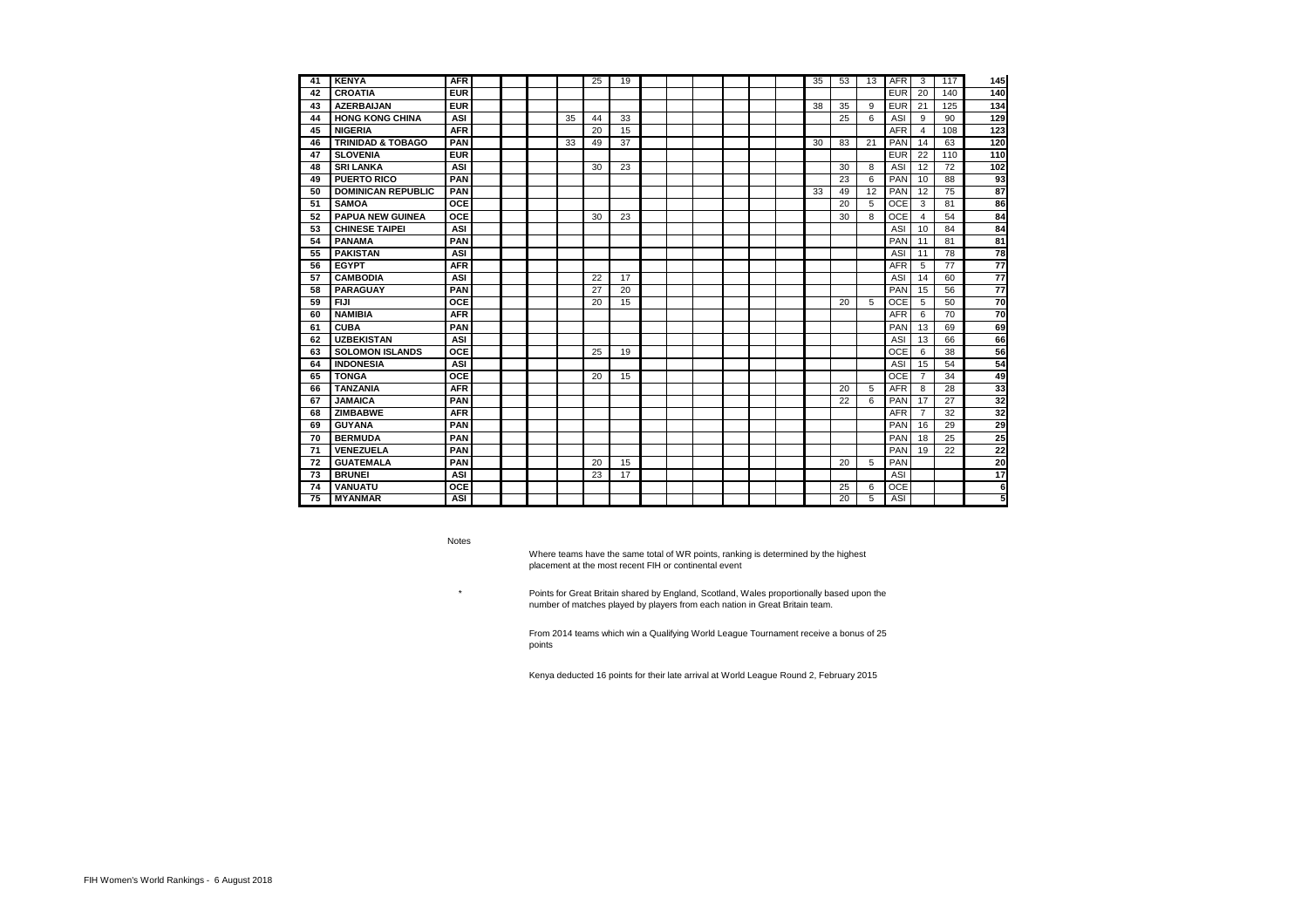| 41 | <b>KENYA</b>                 | <b>AFR</b> |  |    | 25 | 19 |  |  |  | 35 | 53              | 13 | <b>AFR</b> | 3              | 117 | 145 |
|----|------------------------------|------------|--|----|----|----|--|--|--|----|-----------------|----|------------|----------------|-----|-----|
| 42 | <b>CROATIA</b>               | <b>EUR</b> |  |    |    |    |  |  |  |    |                 |    | <b>EUR</b> | 20             | 140 | 140 |
| 43 | <b>AZERBAIJAN</b>            | <b>EUR</b> |  |    |    |    |  |  |  | 38 | 35              | 9  | <b>EUR</b> | 21             | 125 | 134 |
| 44 | <b>HONG KONG CHINA</b>       | <b>ASI</b> |  | 35 | 44 | 33 |  |  |  |    | 25              | 6  | <b>ASI</b> | 9              | 90  | 129 |
| 45 | <b>NIGERIA</b>               | <b>AFR</b> |  |    | 20 | 15 |  |  |  |    |                 |    | <b>AFR</b> | $\overline{4}$ | 108 | 123 |
| 46 | <b>TRINIDAD &amp; TOBAGO</b> | <b>PAN</b> |  | 33 | 49 | 37 |  |  |  | 30 | 83              | 21 | <b>PAN</b> | 14             | 63  | 120 |
| 47 | <b>SLOVENIA</b>              | <b>EUR</b> |  |    |    |    |  |  |  |    |                 |    | <b>EUR</b> | 22             | 110 | 110 |
| 48 | <b>SRI LANKA</b>             | <b>ASI</b> |  |    | 30 | 23 |  |  |  |    | 30              | 8  | <b>ASI</b> | 12             | 72  | 102 |
| 49 | <b>PUERTO RICO</b>           | <b>PAN</b> |  |    |    |    |  |  |  |    | 23              | 6  | PAN        | 10             | 88  | 93  |
| 50 | <b>DOMINICAN REPUBLIC</b>    | <b>PAN</b> |  |    |    |    |  |  |  | 33 | 49              | 12 | <b>PAN</b> | 12             | 75  | 87  |
| 51 | <b>SAMOA</b>                 | <b>OCE</b> |  |    |    |    |  |  |  |    | 20              | 5  | <b>OCE</b> | 3              | 81  | 86  |
| 52 | <b>PAPUA NEW GUINEA</b>      | <b>OCE</b> |  |    | 30 | 23 |  |  |  |    | 30              | 8  | <b>OCE</b> | 4              | 54  | 84  |
| 53 | <b>CHINESE TAIPEI</b>        | <b>ASI</b> |  |    |    |    |  |  |  |    |                 |    | <b>ASI</b> | 10             | 84  | 84  |
| 54 | <b>PANAMA</b>                | <b>PAN</b> |  |    |    |    |  |  |  |    |                 |    | PAN        | 11             | 81  | 81  |
| 55 | <b>PAKISTAN</b>              | <b>ASI</b> |  |    |    |    |  |  |  |    |                 |    | <b>ASI</b> | 11             | 78  | 78  |
| 56 | <b>EGYPT</b>                 | <b>AFR</b> |  |    |    |    |  |  |  |    |                 |    | <b>AFR</b> | 5              | 77  | 77  |
| 57 | <b>CAMBODIA</b>              | <b>ASI</b> |  |    | 22 | 17 |  |  |  |    |                 |    | <b>ASI</b> | 14             | 60  | 77  |
| 58 | <b>PARAGUAY</b>              | <b>PAN</b> |  |    | 27 | 20 |  |  |  |    |                 |    | PAN        | 15             | 56  | 77  |
| 59 | <b>FIJI</b>                  | <b>OCE</b> |  |    | 20 | 15 |  |  |  |    | 20              | 5  | <b>OCE</b> | 5              | 50  | 70  |
| 60 | <b>NAMIBIA</b>               | <b>AFR</b> |  |    |    |    |  |  |  |    |                 |    | <b>AFR</b> | 6              | 70  | 70  |
| 61 | <b>CUBA</b>                  | <b>PAN</b> |  |    |    |    |  |  |  |    |                 |    | PAN        | 13             | 69  | 69  |
| 62 | <b>UZBEKISTAN</b>            | <b>ASI</b> |  |    |    |    |  |  |  |    |                 |    | <b>ASI</b> | 13             | 66  | 66  |
| 63 | <b>SOLOMON ISLANDS</b>       | <b>OCE</b> |  |    | 25 | 19 |  |  |  |    |                 |    | <b>OCE</b> | 6              | 38  | 56  |
| 64 | <b>INDONESIA</b>             | <b>ASI</b> |  |    |    |    |  |  |  |    |                 |    | <b>ASI</b> | 15             | 54  | 54  |
| 65 | <b>TONGA</b>                 | <b>OCE</b> |  |    | 20 | 15 |  |  |  |    |                 |    | <b>OCE</b> | $\overline{7}$ | 34  | 49  |
| 66 | <b>TANZANIA</b>              | <b>AFR</b> |  |    |    |    |  |  |  |    | 20              | 5  | <b>AFR</b> | 8              | 28  | 33  |
| 67 | <b>JAMAICA</b>               | <b>PAN</b> |  |    |    |    |  |  |  |    | 22              | 6  | PAN        | 17             | 27  | 32  |
| 68 | <b>ZIMBABWE</b>              | <b>AFR</b> |  |    |    |    |  |  |  |    |                 |    | <b>AFR</b> | $\overline{7}$ | 32  | 32  |
| 69 | <b>GUYANA</b>                | <b>PAN</b> |  |    |    |    |  |  |  |    |                 |    | <b>PAN</b> | 16             | 29  | 29  |
| 70 | <b>BERMUDA</b>               | <b>PAN</b> |  |    |    |    |  |  |  |    |                 |    | PAN        | 18             | 25  | 25  |
| 71 | <b>VENEZUELA</b>             | <b>PAN</b> |  |    |    |    |  |  |  |    |                 |    | PAN        | 19             | 22  | 22  |
| 72 | <b>GUATEMALA</b>             | <b>PAN</b> |  |    | 20 | 15 |  |  |  |    | 20              | 5  | PAN        |                |     | 20  |
| 73 | <b>BRUNEI</b>                | <b>ASI</b> |  |    | 23 | 17 |  |  |  |    |                 |    | <b>ASI</b> |                |     | 17  |
| 74 | <b>VANUATU</b>               | <b>OCE</b> |  |    |    |    |  |  |  |    | 25              | 6  | <b>OCE</b> |                |     | 6   |
| 75 | <b>MYANMAR</b>               | <b>ASI</b> |  |    |    |    |  |  |  |    | $\overline{20}$ | 5  | <b>ASI</b> |                |     | 5   |
|    |                              |            |  |    |    |    |  |  |  |    |                 |    |            |                |     |     |

Where teams have the same total of WR points, ranking is determined by the highest placement at the most recent FIH or continental event

Notes

\*

Points for Great Britain shared by England, Scotland, Wales proportionally based upon the number of matches played by players from each nation in Great Britain team.

From 2014 teams which win a Qualifying World League Tournament receive a bonus of 25 points

Kenya deducted 16 points for their late arrival at World League Round 2, February 2015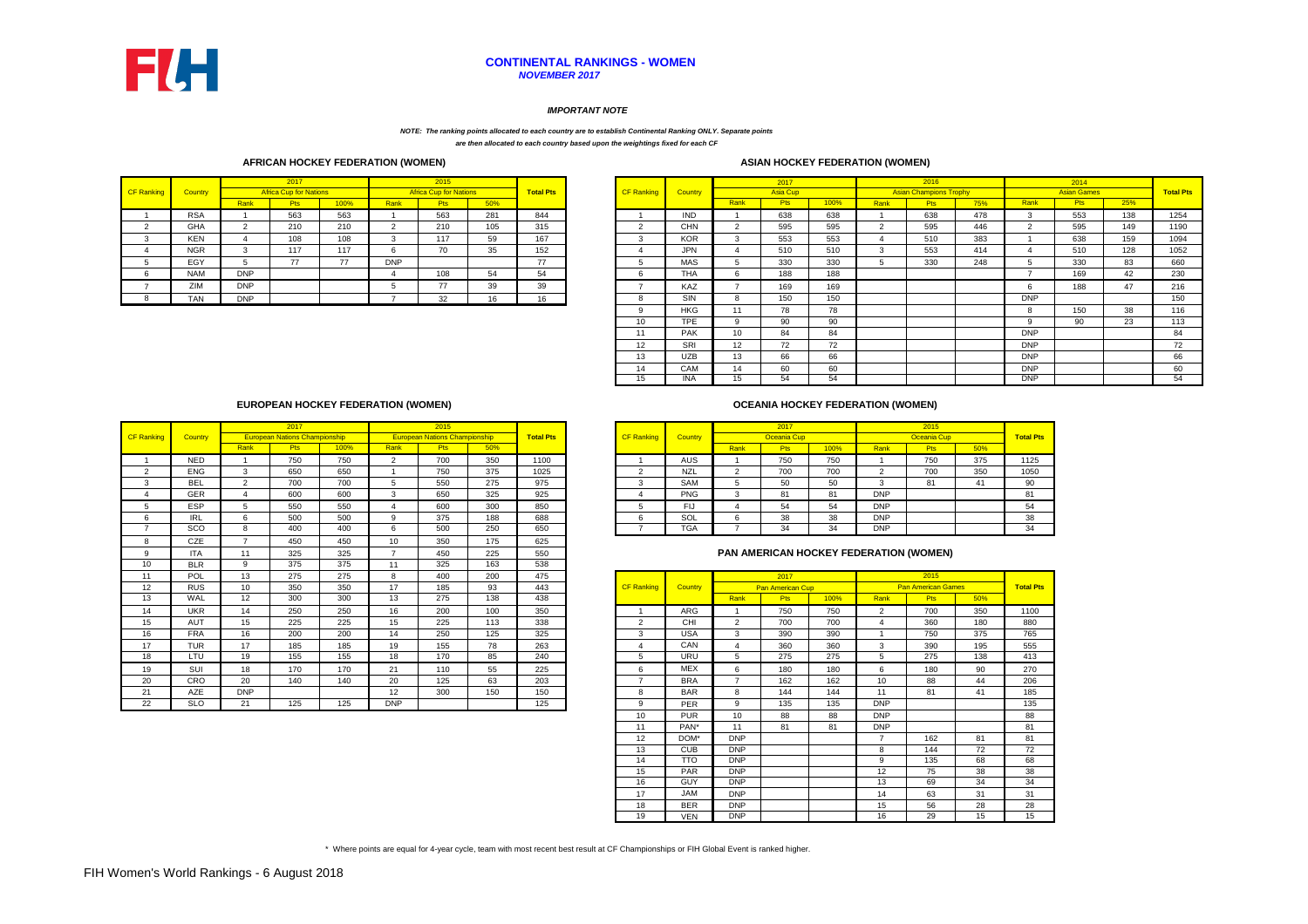|            |            |            | 2017                          |      |            | 2015                          |     |                  |            |            |      | 2017            |         |      | 2016                          |     |            | 2014               |     |                |
|------------|------------|------------|-------------------------------|------|------------|-------------------------------|-----|------------------|------------|------------|------|-----------------|---------|------|-------------------------------|-----|------------|--------------------|-----|----------------|
| CF Ranking | Country    |            | <b>Africa Cup for Nations</b> |      |            | <b>Africa Cup for Nations</b> |     | <b>Total Pts</b> | CF Ranking | Country    |      | <b>Asia Cup</b> |         |      | <b>Asian Champions Trophy</b> |     |            | <b>Asian Games</b> |     | <b>Total P</b> |
|            |            | Rank       | P <sub>ts</sub>               | 100% | Rank       | <b>Pts</b>                    | 50% |                  |            |            | Rank |                 | $100\%$ | Rank | ະເວ.                          | 75% | Rank       | <b>Pts</b>         | 25% |                |
|            | <b>RSA</b> |            | 563                           | 563  |            | 563                           | 281 | 844              |            | <b>IND</b> |      | 638             | 638     |      | 638                           | 478 |            | 553                | 138 | 1254           |
|            | GHA        |            | 210                           | 210  |            | 210                           | 105 | 315              |            | <b>CHN</b> |      | 595             | 595     |      | 595                           | 446 |            | 595                | 149 | <b>1190</b>    |
|            | <b>KEN</b> |            | 108                           | 108  |            | 117                           | 59  | 167              |            | <b>KOR</b> |      | 553             | 553     |      | 510                           | 383 |            | 638                | 159 | 1094           |
|            | <b>NGR</b> |            | 117                           | 117  |            | 70                            | 35  | 152              |            | <b>JPN</b> |      | 510             | 510     |      | 553                           | 414 |            | 510                | 128 | 1052           |
|            | EGY        |            | 77                            | 77   | <b>DNP</b> |                               |     | $\rightarrow$    |            | <b>MAS</b> |      | 330             | 330     |      | 330                           | 248 |            | 330                | 83  | 660            |
|            | <b>NAM</b> | <b>DNP</b> |                               |      |            | 108                           | ~   | 54               |            | <b>THA</b> |      | 188             | 188     |      |                               |     |            | 169                |     | 230            |
|            | ZIM        | <b>DNP</b> |                               |      |            | 77                            | 39  | 39               |            | KAZ        |      | 169             | 169     |      |                               |     |            | 188                |     | 216            |
|            | <b>TAN</b> | <b>DNP</b> |                               |      |            | າາ                            | 10  | 16               |            | SIN        |      | 150             | 150     |      |                               |     | <b>DNP</b> |                    |     | 150            |

|                |                |                | 2017            |      |                | 2016                          |     |            | 2014               |     |                  |
|----------------|----------------|----------------|-----------------|------|----------------|-------------------------------|-----|------------|--------------------|-----|------------------|
| anking?        | <b>Country</b> |                | <b>Asia Cup</b> |      |                | <b>Asian Champions Trophy</b> |     |            | <b>Asian Games</b> |     | <b>Total Pts</b> |
|                |                | Rank           | <b>Pts</b>      | 100% | Rank           | <b>Pts</b>                    | 75% | Rank       | <b>Pts</b>         | 25% |                  |
|                | <b>IND</b>     |                | 638             | 638  | 1              | 638                           | 478 | 3          | 553                | 138 | 1254             |
| 2              | <b>CHN</b>     | 2              | 595             | 595  | $\overline{2}$ | 595                           | 446 | 2          | 595                | 149 | 1190             |
| 3              | <b>KOR</b>     | 3              | 553             | 553  | 4              | 510                           | 383 |            | 638                | 159 | 1094             |
| 4              | <b>JPN</b>     | 4              | 510             | 510  | 3              | 553                           | 414 | 4          | 510                | 128 | 1052             |
| 5              | <b>MAS</b>     | 5              | 330             | 330  | 5              | 330                           | 248 | 5          | 330                | 83  | 660              |
| 6              | <b>THA</b>     | 6              | 188             | 188  |                |                               |     | 7          | 169                | 42  | 230              |
| $\overline{7}$ | KAZ            | $\overline{7}$ | 169             | 169  |                |                               |     | 6          | 188                | 47  | 216              |
| 8              | <b>SIN</b>     | 8              | 150             | 150  |                |                               |     | <b>DNP</b> |                    |     | 150              |
| 9              | <b>HKG</b>     | 11             | 78              | 78   |                |                               |     | 8          | 150                | 38  | 116              |
| 10             | <b>TPE</b>     | 9              | 90              | 90   |                |                               |     | 9          | 90                 | 23  | 113              |
| 11             | <b>PAK</b>     | 10             | 84              | 84   |                |                               |     | <b>DNP</b> |                    |     | 84               |
| 12             | <b>SRI</b>     | 12             | 72              | 72   |                |                               |     | <b>DNP</b> |                    |     | 72               |
| 13             | <b>UZB</b>     | 13             | 66              | 66   |                |                               |     | <b>DNP</b> |                    |     | 66               |
| 14             | CAM            | 14             | 60              | 60   |                |                               |     | <b>DNP</b> |                    |     | 60               |
| 15             | <b>INA</b>     | 15             | 54              | 54   |                |                               |     | <b>DNP</b> |                    |     | 54               |

|      | 2017                                 |     |      | 2015                                 |     |                  |                   |                |      | 2017            |         |            | 2015        |     |                  |
|------|--------------------------------------|-----|------|--------------------------------------|-----|------------------|-------------------|----------------|------|-----------------|---------|------------|-------------|-----|------------------|
|      | <b>European Nations Championship</b> |     |      | <b>European Nations Championship</b> |     | <b>Total Pts</b> | <b>CF Ranking</b> | <b>Country</b> |      | Oceania Cup     |         |            | Oceania Cup |     | <b>Total Pts</b> |
| Rank | ⊏ເວ                                  | 00% | Rank | Pts                                  | 50% |                  |                   |                | Rank | P <sub>ts</sub> | $100\%$ | Rank       | Pts/        | 50% |                  |
|      | 750                                  | 750 |      | 700                                  | 350 | 1100             |                   | AUS            |      | 750             | 750     |            | 750         | 375 | 1125             |
| ა    | 650                                  | 650 |      | 750                                  | 375 | 1025             |                   | <b>NZL</b>     |      | 700             | 700     |            | 700         | 350 | 1050             |
|      | 700                                  | 700 |      | 550                                  | 275 | 975              |                   | <b>SAM</b>     |      | 50              | 50      |            | 81          | 4   | 90               |
|      | 600                                  | 600 |      | 650                                  | 325 | 925              |                   | <b>PNG</b>     |      | 81              | 81      | <b>DNP</b> |             |     | 81               |
| ີ    | 550                                  | 550 |      | 600                                  | 300 | 850              |                   | Flo            |      | 54              | 54      | <b>DNP</b> |             |     | 54               |
| 6    | 500                                  | 500 |      | 375                                  | 188 | 688              |                   | SOL            |      | 38              | 38      | <b>DNP</b> |             |     | 38               |
| 8    | 400                                  | 400 |      | 500                                  | 250 | 650              |                   | <b>TGA</b>     |      | 34              | 34      | <b>DNP</b> |             |     | 34               |

|                   |            |                | 2017                                 |      |                          | 2015                                 |     |                  |                   |            |                          | 2017                    |      |                 | 2015                                          |     |                |
|-------------------|------------|----------------|--------------------------------------|------|--------------------------|--------------------------------------|-----|------------------|-------------------|------------|--------------------------|-------------------------|------|-----------------|-----------------------------------------------|-----|----------------|
| <b>CF Ranking</b> | Country    |                | <b>European Nations Championship</b> |      |                          | <b>European Nations Championship</b> |     | <b>Total Pts</b> | <b>CF Ranking</b> | Country    |                          | <b>Oceania Cup</b>      |      |                 | Oceania Cup                                   |     | <b>Total P</b> |
|                   |            | Rank           | <b>Pts</b>                           | 100% | Rank                     | Pts                                  | 50% |                  |                   |            | Rank                     | <b>Pts</b>              | 100% | Rank            | <b>Pts</b>                                    | 50% |                |
|                   | <b>NED</b> |                | 750                                  | 750  | $\overline{2}$           | 700                                  | 350 | 1100             |                   | <b>AUS</b> |                          | 750                     | 750  |                 | 750                                           | 375 |                |
| 2                 | <b>ENG</b> | 3              | 650                                  | 650  |                          | 750                                  | 375 | 1025             | $\overline{2}$    | <b>NZL</b> | $\overline{2}$           | 700                     | 700  | 2               | 700                                           | 350 |                |
| 3                 | <b>BEL</b> | 2              | 700                                  | 700  | 5                        | 550                                  | 275 | 975              | 3                 | <b>SAM</b> | 5                        | 50                      | 50   | 3               | 81                                            | 41  |                |
| 4                 | <b>GER</b> | $\overline{4}$ | 600                                  | 600  | 3                        | 650                                  | 325 | 925              |                   | <b>PNG</b> | 3                        | 81                      | 81   | <b>DNP</b>      |                                               |     |                |
| 5                 | <b>ESP</b> | 5              | 550                                  | 550  | $\overline{4}$           | 600                                  | 300 | 850              | 5                 | <b>FIJ</b> | 4                        | 54                      | 54   | <b>DNP</b>      |                                               |     |                |
| 6                 | <b>IRL</b> | 6              | 500                                  | 500  | 9                        | 375                                  | 188 | 688              | 6                 | SOL        | 6                        | 38                      | 38   | <b>DNP</b>      |                                               |     |                |
| $\overline{7}$    | <b>SCO</b> | 8              | 400                                  | 400  | 6                        | 500                                  | 250 | 650              |                   | <b>TGA</b> | $\overline{\phantom{a}}$ | 34                      | 34   | <b>DNP</b>      |                                               |     |                |
| 8                 | <b>CZE</b> | $\overline{7}$ | 450                                  | 450  | 10                       | 350                                  | 175 | 625              |                   |            |                          |                         |      |                 |                                               |     |                |
| 9                 | <b>ITA</b> | 11             | 325                                  | 325  | $\overline{\phantom{a}}$ | 450                                  | 225 | 550              |                   |            |                          |                         |      |                 | <b>PAN AMERICAN HOCKEY FEDERATION (WOMEN)</b> |     |                |
| 10                | <b>BLR</b> | 9              | 375                                  | 375  | 11                       | 325                                  | 163 | 538              |                   |            |                          |                         |      |                 |                                               |     |                |
| 11                | POL        | 13             | 275                                  | 275  | 8                        | 400                                  | 200 | 475              |                   |            |                          | 2017                    |      |                 | 2015                                          |     |                |
| 12                | <b>RUS</b> | 10             | 350                                  | 350  | 17                       | 185                                  | 93  | 443              | <b>CF Ranking</b> | Country    |                          | <b>Pan American Cup</b> |      |                 | <b>Pan American Games</b>                     |     |                |
| 13                | <b>WAL</b> | 12             | 300                                  | 300  | $\overline{13}$          | 275                                  | 138 | 438              |                   |            | Rank                     | <b>Pts</b>              | 100% | Rank            | <b>Pts</b>                                    | 50% |                |
| 14                | <b>UKR</b> | 14             | 250                                  | 250  | 16                       | 200                                  | 100 | 350              |                   | <b>ARG</b> |                          | 750                     | 750  | $\overline{2}$  | 700                                           | 350 |                |
| 15                | <b>AUT</b> | 15             | 225                                  | 225  | 15                       | 225                                  | 113 | 338              | $\overline{2}$    | CHI        | $\overline{2}$           | 700                     | 700  |                 | 360                                           | 180 |                |
| 16                | <b>FRA</b> | 16             | 200                                  | 200  | 14                       | 250                                  | 125 | 325              | 3                 | <b>USA</b> | 3                        | 390                     | 390  |                 | 750                                           | 375 |                |
| 17                | <b>TUR</b> | 17             | 185                                  | 185  | 19                       | 155                                  | 78  | 263              |                   | CAN        | 4                        | 360                     | 360  | 3               | 390                                           | 195 |                |
| 18                | LTU        | 19             | 155                                  | 155  | 18                       | 170                                  | 85  | 240              | 5                 | <b>URU</b> | 5                        | 275                     | 275  | 5               | 275                                           | 138 |                |
| 19                | SUI        | 18             | 170                                  | 170  | 21                       | 110                                  | 55  | 225              | 6                 | <b>MEX</b> | 6                        | 180                     | 180  | 6               | 180                                           | 90  |                |
| 20                | <b>CRO</b> | 20             | 140                                  | 140  | 20                       | 125                                  | 63  | 203              |                   | <b>BRA</b> | $\overline{\phantom{a}}$ | 162                     | 162  | 10 <sup>°</sup> | 88                                            | 44  |                |
| 21                | <b>AZE</b> | <b>DNP</b>     |                                      |      | $12 \overline{ }$        | 300                                  | 150 | 150              | 8                 | <b>BAR</b> | 8                        | 144                     | 144  | 11              | 81                                            | 41  |                |
|                   |            |                |                                      |      |                          |                                      |     |                  |                   |            |                          |                         |      |                 |                                               |     |                |

\* Where points are equal for 4-year cycle, team with most recent best result at CF Championships or FIH Global Event is ranked higher.

#### *IMPORTANT NOTE*

### **CONTINENTAL RANKINGS - WOMEN** *NOVEMBER 2017*

*NOTE: The ranking points allocated to each country are to establish Continental Ranking ONLY. Separate points are then allocated to each country based upon the weightings fixed for each CF* 

|                   |                |                | 2017                    |      |                | 2015                      |     |                  |
|-------------------|----------------|----------------|-------------------------|------|----------------|---------------------------|-----|------------------|
| <b>CF Ranking</b> | <b>Country</b> |                | <b>Pan American Cup</b> |      |                | <b>Pan American Games</b> |     | <b>Total Pts</b> |
|                   |                | Rank           | <b>Pts</b>              | 100% | Rank           | <b>Pts</b>                | 50% |                  |
| 1                 | <b>ARG</b>     | 1              | 750                     | 750  | 2              | 700                       | 350 | 1100             |
| 2                 | <b>CHI</b>     | $\overline{2}$ | 700                     | 700  | 4              | 360                       | 180 | 880              |
| 3                 | <b>USA</b>     | 3              | 390                     | 390  | 1              | 750                       | 375 | 765              |
| 4                 | <b>CAN</b>     | 4              | 360                     | 360  | 3              | 390                       | 195 | 555              |
| 5                 | <b>URU</b>     | 5              | 275                     | 275  | 5              | 275                       | 138 | 413              |
| 6                 | <b>MEX</b>     | 6              | 180                     | 180  | 6              | 180                       | 90  | 270              |
| $\overline{7}$    | <b>BRA</b>     | $\overline{7}$ | 162                     | 162  | 10             | 88                        | 44  | 206              |
| 8                 | <b>BAR</b>     | 8              | 144                     | 144  | 11             | 81                        | 41  | 185              |
| 9                 | <b>PER</b>     | 9              | 135                     | 135  | <b>DNP</b>     |                           |     | 135              |
| 10                | <b>PUR</b>     | 10             | 88                      | 88   | <b>DNP</b>     |                           |     | 88               |
| 11                | PAN*           | 11             | 81                      | 81   | <b>DNP</b>     |                           |     | 81               |
| 12                | DOM*           | <b>DNP</b>     |                         |      | $\overline{7}$ | 162                       | 81  | 81               |
| 13                | <b>CUB</b>     | <b>DNP</b>     |                         |      | 8              | 144                       | 72  | 72               |
| 14                | TTO            | <b>DNP</b>     |                         |      | 9              | 135                       | 68  | 68               |
| 15                | <b>PAR</b>     | <b>DNP</b>     |                         |      | 12             | 75                        | 38  | 38               |
| 16                | <b>GUY</b>     | <b>DNP</b>     |                         |      | 13             | 69                        | 34  | 34               |
| 17                | JAM            | <b>DNP</b>     |                         |      | 14             | 63                        | 31  | 31               |
| 18                | <b>BER</b>     | <b>DNP</b>     |                         |      | 15             | 56                        | 28  | 28               |
| 19                | <b>VEN</b>     | <b>DNP</b>     |                         |      | 16             | $\overline{29}$           | 15  | 15               |

### **AFRICAN HOCKEY FEDERATION (WOMEN) ASIAN HOCKEY FEDERATION (WOMEN)**

| <b>ASIAN HOCKEY FEDERATION ()</b> |  |
|-----------------------------------|--|
|-----------------------------------|--|

## **OCEANIA HOCKEY FEDERATION (WOMEN)**

### **EUROPEAN HOCKEY FEDERATION (WOMEN)**

# **PAN AMERICAN HOCKEY FEDERATION (WOMEN)**